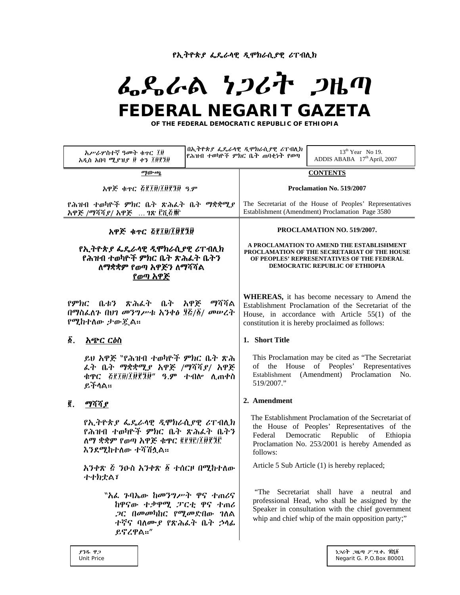የኢትዮጵያ ፌዴራሳዊ ዲሞክራሲያዊ ሪፐብሊክ

# んぺんとりつびれ つはの **FEDERAL NEGARIT GAZETA**

**OF THE FEDERAL DEMOCRATIC REPUBLIC OF ETHIOPIA** 

| አሥራሦስተኛ ዓመት ቁተር ፲፱<br>አዲስ አበባ ሚያዝያ ፱ ቀን ፲፱፻፺፱                                                                                                     |  | በኢትዮጵያ ፌዴራሳዊ ዲሞክራሲያዊ ሪፐብሊክ<br>የሕዝብ ተወካዮች ምክር ቤት ጠባቂነት የወጣ                                                                                                                                                   | $13th$ Year No 19.<br>ADDIS ABABA 17th April, 2007                                                                                                                                                      |
|---------------------------------------------------------------------------------------------------------------------------------------------------|--|-------------------------------------------------------------------------------------------------------------------------------------------------------------------------------------------------------------|---------------------------------------------------------------------------------------------------------------------------------------------------------------------------------------------------------|
| ማውጫ                                                                                                                                               |  | <b>CONTENTS</b>                                                                                                                                                                                             |                                                                                                                                                                                                         |
| አዋጅ ቁጥር ፭፻፲፱/፲፱፻፺፱ ዓ.ም                                                                                                                            |  | Proclamation No. 519/2007                                                                                                                                                                                   |                                                                                                                                                                                                         |
| የሕዝብ ተወካዮች ምክር ቤት ጽሕፈት ቤት ማቋቋሚያ<br>አዋጅ /ማሻሻያ/ አዋጅ … ገጽ ፫ሺ፩፹                                                                                       |  | The Secretariat of the House of Peoples' Representatives<br>Establishment (Amendment) Proclamation Page 3580                                                                                                |                                                                                                                                                                                                         |
| አዋጅ ቁጥር ፭፻፲፱/፲፱፻፺፱                                                                                                                                |  | PROCLAMATION NO. 519/2007.                                                                                                                                                                                  |                                                                                                                                                                                                         |
| የኢትዮጵያ ፌዴራሳዊ ዲሞክራሲያዊ ሪፐብሊክ<br>የሕዝብ ተወካዮች ምክር ቤት ጽሕፈት ቤትን<br>ለማቋቋም የወጣ አዋጅን ለማሻሻል<br>የወጣ አዋጅ                                                       |  | A PROCLAMATION TO AMEND THE ESTABLISHMENT<br>PROCLAMATION OF THE SECRETARIAT OF THE HOUSE<br>OF PEOPLES' REPRESENTATIVES OF THE FEDERAL<br>DEMOCRATIC REPUBLIC OF ETHIOPIA                                  |                                                                                                                                                                                                         |
| የምክር ቤቱን ጽሕፈት ቤት አዋጅ ማሻሻል<br>በማስፌለጉ በህገ መንግሥቱ አንቀፅ ፶፭/፩/ መሠረት<br>የሚከተለው ታውጇል።                                                                     |  | WHEREAS, it has become necessary to Amend the<br>Establishment Proclamation of the Secretariat of the<br>House, in accordance with Article 55(1) of the<br>constitution it is hereby proclaimed as follows: |                                                                                                                                                                                                         |
| δ.<br><u> አጭር ርዕስ</u>                                                                                                                             |  | 1. Short Title                                                                                                                                                                                              |                                                                                                                                                                                                         |
| ይህ አዋጅ 〝የሕዝብ ተወካዮች ምክር ቤት ጽሕ<br>ፌት ቤት ማቋቋሚያ አዋጅ /ማሻሻያ/ አዋጅ<br>ቁዋር ፩፻፲፱/፲፱፻፺፱" ዓ.ም ተብሎ ሲጠቀስ<br>ይችላል።                                               |  | 519/2007."                                                                                                                                                                                                  | This Proclamation may be cited as "The Secretariat"<br>of the House of Peoples' Representatives<br>Establishment (Amendment) Proclamation No.                                                           |
| ĝ.<br>ማሻሻያ                                                                                                                                        |  | 2. Amendment                                                                                                                                                                                                |                                                                                                                                                                                                         |
| <i>የኢትዮጵያ ፌ</i> ዴራሳዊ <i>ዲሞክራሲያዊ ሪ</i> ፐብሊክ<br>የሕዝብ ተወካዮች ምክር ቤት ጽሕፌት ቤትን<br>ለማ ቋቋም የወጣ አዋጅ ቁዋር ፪፻፶፫/፲፱፻፺፫<br>እንደሚከተለው ተሻሽሷል።                      |  | Democratic<br>Federal<br>follows:                                                                                                                                                                           | The Establishment Proclamation of the Secretariat of<br>the House of Peoples' Representatives of the<br>Republic<br>Ethiopia<br>of<br>Proclamation No. 253/2001 is hereby Amended as                    |
| አንቀጽ ፭ ንዑስ አንቀጽ ፩ ተሰርዞ በሚከተለው<br>オオカ丈AT                                                                                                           |  |                                                                                                                                                                                                             | Article 5 Sub Article (1) is hereby replaced;                                                                                                                                                           |
| <sup></sup> " <i>እ</i> ፌ <i>ጉ</i> ባኤው ከመንግሥት ዋና ተጠሪና<br>ከዋናው ተቃዋሚ ፓርቲ ዋና ተጠሪ<br><i>,</i> ጋር በመመካከር የሚመድበው ገለል<br>ተኛና ባለሙያ የጽሕፌት ቤት ኃላፊ<br>ይኖረዋል።" |  |                                                                                                                                                                                                             | "The Secretariat shall have a neutral and<br>professional Head, who shall be assigned by the<br>Speaker in consultation with the chief government<br>whip and chief whip of the main opposition party;" |
| ያንዱ ዋጋ                                                                                                                                            |  |                                                                                                                                                                                                             | ነጋሪት ጋዜጣ ፖ.ሣ.ቀ. ፹ሺ፩                                                                                                                                                                                     |

Unit Price